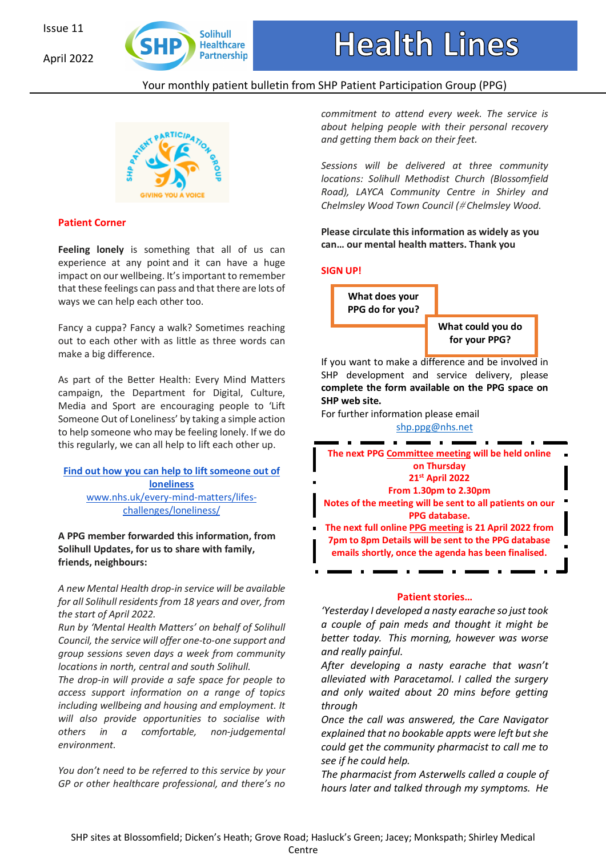April 2022



# Your monthly patient bulletin from SHP Patient Participation Group (PPG)



# **Patient Corner**

**Feeling lonely** is something that all of us can experience at any point and it can have a huge impact on our wellbeing. It'simportant to remember that these feelings can pass and that there are lots of ways we can help each other too.

Fancy a cuppa? Fancy a walk? Sometimes reaching out to each other with as little as three words can make a big difference.

As part of the Better Health: Every Mind Matters campaign, the Department for Digital, Culture, Media and Sport are encouraging people to 'Lift Someone Out of Loneliness' by taking a simple action to help someone who may be feeling lonely. If we do this regularly, we can all help to lift each other up.

### **Find out how you can help to liftsomeone out of loneliness** www.nhs.uk/every-mind-matters/lifeschallenges/loneliness/

**A PPG member forwarded this information, from Solihull Updates, for us to share with family, friends, neighbours:** 

*A new Mental Health drop-in service will be available for all Solihull residents from 18 years and over, from the start of April 2022.* 

*Run by 'Mental Health Matters' on behalf of Solihull Council, the service will offer one-to-one support and group sessions seven days a week from community locations in north, central and south Solihull.* 

*The drop-in will provide a safe space for people to access support information on a range of topics including wellbeing and housing and employment. It will also provide opportunities to socialise with others in a comfortable, non-judgemental environment.* 

*You don't need to be referred to this service by your GP or other healthcare professional, and there's no*  *commitment to attend every week. The service is about helping people with their personal recovery and getting them back on their feet.*

*Sessions will be delivered at three community locations: Solihull Methodist Church (Blossomfield Road), LAYCA Community Centre in Shirley and Chelmsley Wood Town Council (*# *Chelmsley Wood.* 

**Please circulate this information as widely as you can… our mental health matters. Thank you** 

## **SIGN UP!**



If you want to make a difference and be involved in SHP development and service delivery, please **complete the form available on the PPG space on SHP web site.** 

For further information please email shp.ppg@nhs.net



#### **Patient stories…**

*'Yesterday I developed a nasty earache so just took a couple of pain meds and thought it might be better today. This morning, however was worse and really painful.*

*After developing a nasty earache that wasn't alleviated with Paracetamol. I called the surgery and only waited about 20 mins before getting through* 

*Once the call was answered, the Care Navigator explained that no bookable appts were left but she could get the community pharmacist to call me to see if he could help.*

*The pharmacist from Asterwells called a couple of hours later and talked through my symptoms. He*